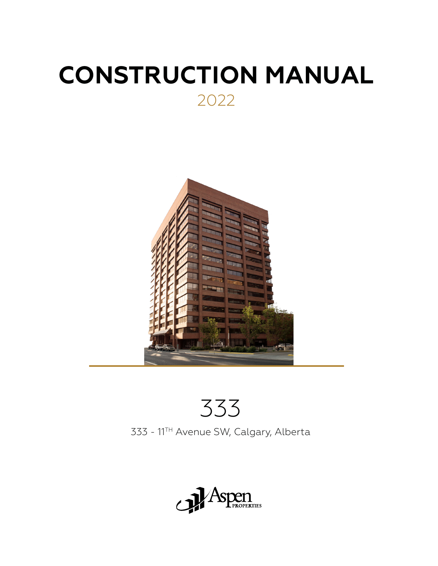# **CONSTRUCTION MANUAL** 2022



# 333

333 - 11TH Avenue SW, Calgary, Alberta

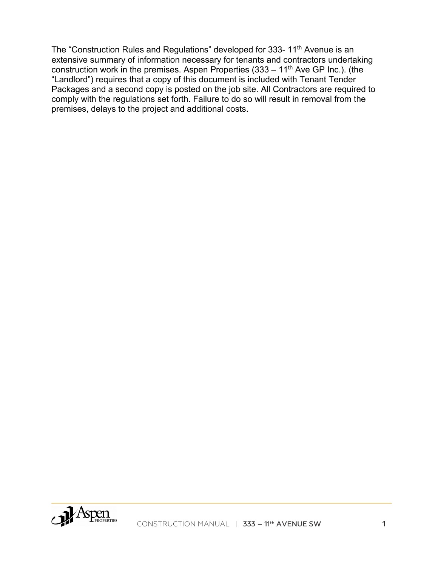The "Construction Rules and Regulations" developed for 333-11<sup>th</sup> Avenue is an extensive summary of information necessary for tenants and contractors undertaking construction work in the premises. Aspen Properties  $(333 - 11<sup>th</sup>$  Ave GP Inc.). (the "Landlord") requires that a copy of this document is included with Tenant Tender Packages and a second copy is posted on the job site. All Contractors are required to comply with the regulations set forth. Failure to do so will result in removal from the premises, delays to the project and additional costs.

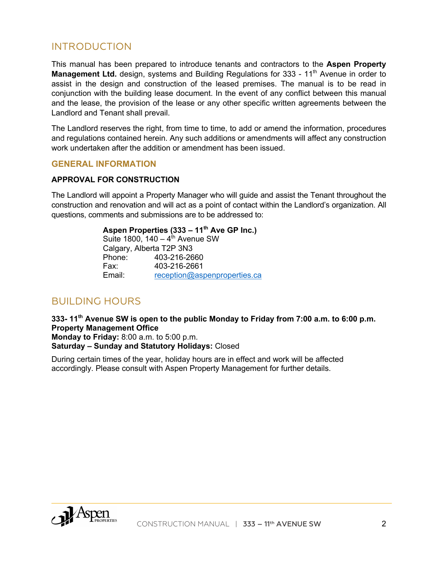## INTRODUCTION

This manual has been prepared to introduce tenants and contractors to the **Aspen Property Management Ltd.** design, systems and Building Regulations for 333 - 11<sup>th</sup> Avenue in order to assist in the design and construction of the leased premises. The manual is to be read in conjunction with the building lease document. In the event of any conflict between this manual and the lease, the provision of the lease or any other specific written agreements between the Landlord and Tenant shall prevail.

The Landlord reserves the right, from time to time, to add or amend the information, procedures and regulations contained herein. Any such additions or amendments will affect any construction work undertaken after the addition or amendment has been issued.

#### **GENERAL INFORMATION**

#### **APPROVAL FOR CONSTRUCTION**

The Landlord will appoint a Property Manager who will guide and assist the Tenant throughout the construction and renovation and will act as a point of contact within the Landlord's organization. All questions, comments and submissions are to be addressed to:

> **Aspen Properties (333 – 11th Ave GP Inc.)** Suite 1800,  $140 - 4^{\text{th}}$  Avenue SW Calgary, Alberta T2P 3N3 Phone: 403-216-2660 Fax: 403-216-2661 Email: reception@aspenproperties.ca

## BUILDING HOURS

**333- 11th Avenue SW is open to the public Monday to Friday from 7:00 a.m. to 6:00 p.m. Property Management Office**

**Monday to Friday:** 8:00 a.m. to 5:00 p.m. **Saturday – Sunday and Statutory Holidays:** Closed

During certain times of the year, holiday hours are in effect and work will be affected accordingly. Please consult with Aspen Property Management for further details.

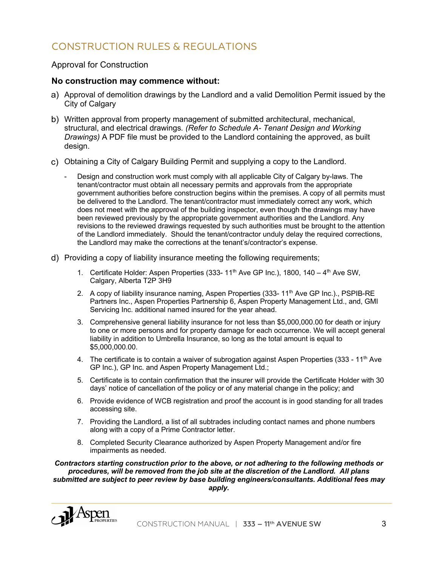# CONSTRUCTION RULES & REGULATIONS

#### Approval for Construction

#### **No construction may commence without:**

- Approval of demolition drawings by the Landlord and a valid Demolition Permit issued by the City of Calgary
- Written approval from property management of submitted architectural, mechanical, structural, and electrical drawings*. (Refer to Schedule A- Tenant Design and Working Drawings)* A PDF file must be provided to the Landlord containing the approved, as built design.
- Obtaining a City of Calgary Building Permit and supplying a copy to the Landlord.
	- Design and construction work must comply with all applicable City of Calgary by-laws. The tenant/contractor must obtain all necessary permits and approvals from the appropriate government authorities before construction begins within the premises. A copy of all permits must be delivered to the Landlord. The tenant/contractor must immediately correct any work, which does not meet with the approval of the building inspector, even though the drawings may have been reviewed previously by the appropriate government authorities and the Landlord. Any revisions to the reviewed drawings requested by such authorities must be brought to the attention of the Landlord immediately. Should the tenant/contractor unduly delay the required corrections, the Landlord may make the corrections at the tenant's/contractor's expense.
- Providing a copy of liability insurance meeting the following requirements;
	- 1. Certificate Holder: Aspen Properties (333-  $11<sup>th</sup>$  Ave GP Inc.), 1800, 140  $4<sup>th</sup>$  Ave SW, Calgary, Alberta T2P 3H9
	- 2. A copy of liability insurance naming, Aspen Properties (333-11<sup>th</sup> Ave GP Inc.)., PSPIB-RE Partners Inc., Aspen Properties Partnership 6, Aspen Property Management Ltd., and, GMI Servicing Inc. additional named insured for the year ahead.
	- 3. Comprehensive general liability insurance for not less than \$5,000,000.00 for death or injury to one or more persons and for property damage for each occurrence. We will accept general liability in addition to Umbrella Insurance, so long as the total amount is equal to \$5,000,000.00.
	- 4. The certificate is to contain a waiver of subrogation against Aspen Properties  $(333 11<sup>th</sup> Ave)$ GP Inc.), GP Inc. and Aspen Property Management Ltd.;
	- 5. Certificate is to contain confirmation that the insurer will provide the Certificate Holder with 30 days' notice of cancellation of the policy or of any material change in the policy; and
	- 6. Provide evidence of WCB registration and proof the account is in good standing for all trades accessing site.
	- 7. Providing the Landlord, a list of all subtrades including contact names and phone numbers along with a copy of a Prime Contractor letter.
	- 8. Completed Security Clearance authorized by Aspen Property Management and/or fire impairments as needed.

*Contractors starting construction prior to the above, or not adhering to the following methods or procedures, will be removed from the job site at the discretion of the Landlord. All plans submitted are subject to peer review by base building engineers/consultants. Additional fees may apply.*

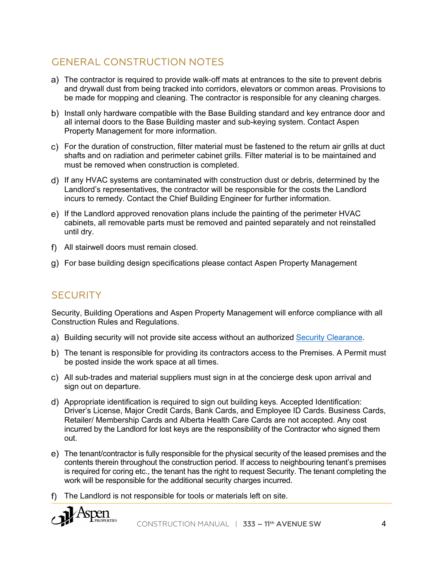# GENERAL CONSTRUCTION NOTES

- The contractor is required to provide walk-off mats at entrances to the site to prevent debris and drywall dust from being tracked into corridors, elevators or common areas. Provisions to be made for mopping and cleaning. The contractor is responsible for any cleaning charges.
- b) Install only hardware compatible with the Base Building standard and key entrance door and all internal doors to the Base Building master and sub-keying system. Contact Aspen Property Management for more information.
- For the duration of construction, filter material must be fastened to the return air grills at duct shafts and on radiation and perimeter cabinet grills. Filter material is to be maintained and must be removed when construction is completed.
- If any HVAC systems are contaminated with construction dust or debris, determined by the Landlord's representatives, the contractor will be responsible for the costs the Landlord incurs to remedy. Contact the Chief Building Engineer for further information.
- If the Landlord approved renovation plans include the painting of the perimeter HVAC cabinets, all removable parts must be removed and painted separately and not reinstalled until dry.
- All stairwell doors must remain closed.
- For base building design specifications please contact Aspen Property Management

## **SECURITY**

Security, Building Operations and Aspen Property Management will enforce compliance with all Construction Rules and Regulations.

- a) Building security will not provide site access without an authorized Security Clearance.
- The tenant is responsible for providing its contractors access to the Premises. A Permit must be posted inside the work space at all times.
- All sub-trades and material suppliers must sign in at the concierge desk upon arrival and sign out on departure.
- Appropriate identification is required to sign out building keys. Accepted Identification: Driver's License, Major Credit Cards, Bank Cards, and Employee ID Cards. Business Cards, Retailer/ Membership Cards and Alberta Health Care Cards are not accepted. Any cost incurred by the Landlord for lost keys are the responsibility of the Contractor who signed them out.
- The tenant/contractor is fully responsible for the physical security of the leased premises and the contents therein throughout the construction period. If access to neighbouring tenant's premises is required for coring etc., the tenant has the right to request Security. The tenant completing the work will be responsible for the additional security charges incurred.
- f) The Landlord is not responsible for tools or materials left on site.

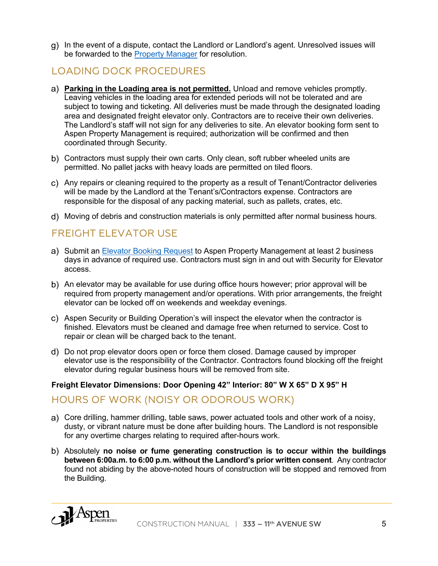In the event of a dispute, contact the Landlord or Landlord's agent. Unresolved issues will be forwarded to the Property Manager for resolution.

# LOADING DOCK PROCEDURES

- **Parking in the Loading area is not permitted.** Unload and remove vehicles promptly. Leaving vehicles in the loading area for extended periods will not be tolerated and are subject to towing and ticketing. All deliveries must be made through the designated loading area and designated freight elevator only. Contractors are to receive their own deliveries. The Landlord's staff will not sign for any deliveries to site. An elevator booking form sent to Aspen Property Management is required; authorization will be confirmed and then coordinated through Security.
- b) Contractors must supply their own carts. Only clean, soft rubber wheeled units are permitted. No pallet jacks with heavy loads are permitted on tiled floors.
- Any repairs or cleaning required to the property as a result of Tenant/Contractor deliveries will be made by the Landlord at the Tenant's/Contractors expense. Contractors are responsible for the disposal of any packing material, such as pallets, crates, etc.
- Moving of debris and construction materials is only permitted after normal business hours.

## FREIGHT ELEVATOR USE

- a) Submit an Elevator Booking Request to Aspen Property Management at least 2 business days in advance of required use. Contractors must sign in and out with Security for Elevator access.
- An elevator may be available for use during office hours however; prior approval will be required from property management and/or operations. With prior arrangements, the freight elevator can be locked off on weekends and weekday evenings.
- Aspen Security or Building Operation's will inspect the elevator when the contractor is finished. Elevators must be cleaned and damage free when returned to service. Cost to repair or clean will be charged back to the tenant.
- Do not prop elevator doors open or force them closed. Damage caused by improper elevator use is the responsibility of the Contractor. Contractors found blocking off the freight elevator during regular business hours will be removed from site.

#### **Freight Elevator Dimensions: Door Opening 42" Interior: 80" W X 65" D X 95" H**

## HOURS OF WORK (NOISY OR ODOROUS WORK)

- Core drilling, hammer drilling, table saws, power actuated tools and other work of a noisy, dusty, or vibrant nature must be done after building hours. The Landlord is not responsible for any overtime charges relating to required after-hours work.
- Absolutely **no noise or fume generating construction is to occur within the buildings between 6:00a.m. to 6:00 p.m. without the Landlord's prior written consent**. Any contractor found not abiding by the above-noted hours of construction will be stopped and removed from the Building.

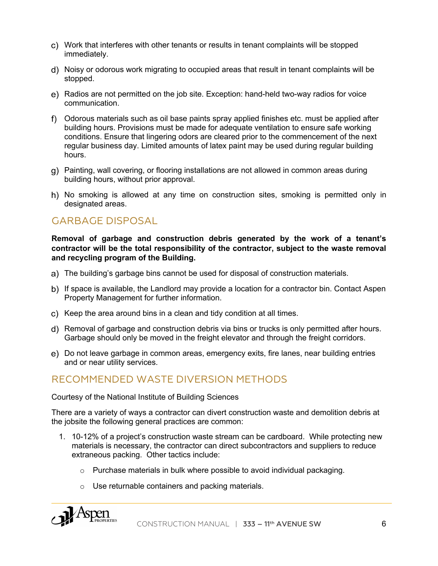- Work that interferes with other tenants or results in tenant complaints will be stopped immediately.
- Noisy or odorous work migrating to occupied areas that result in tenant complaints will be stopped.
- Radios are not permitted on the job site. Exception: hand-held two-way radios for voice communication.
- Odorous materials such as oil base paints spray applied finishes etc. must be applied after building hours. Provisions must be made for adequate ventilation to ensure safe working conditions. Ensure that lingering odors are cleared prior to the commencement of the next regular business day. Limited amounts of latex paint may be used during regular building hours.
- Painting, wall covering, or flooring installations are not allowed in common areas during building hours, without prior approval.
- h) No smoking is allowed at any time on construction sites, smoking is permitted only in designated areas.

## GARBAGE DISPOSAL

**Removal of garbage and construction debris generated by the work of a tenant's contractor will be the total responsibility of the contractor, subject to the waste removal and recycling program of the Building.**

- The building's garbage bins cannot be used for disposal of construction materials.
- b) If space is available, the Landlord may provide a location for a contractor bin. Contact Aspen Property Management for further information.
- c) Keep the area around bins in a clean and tidy condition at all times.
- Removal of garbage and construction debris via bins or trucks is only permitted after hours. Garbage should only be moved in the freight elevator and through the freight corridors.
- Do not leave garbage in common areas, emergency exits, fire lanes, near building entries and or near utility services.

## RECOMMENDED WASTE DIVERSION METHODS

Courtesy of the National Institute of Building Sciences

There are a variety of ways a contractor can divert construction waste and demolition debris at the jobsite the following general practices are common:

- 1. 10-12% of a project's construction waste stream can be cardboard. While protecting new materials is necessary, the contractor can direct subcontractors and suppliers to reduce extraneous packing. Other tactics include:
	- $\circ$  Purchase materials in bulk where possible to avoid individual packaging.
	- o Use returnable containers and packing materials.

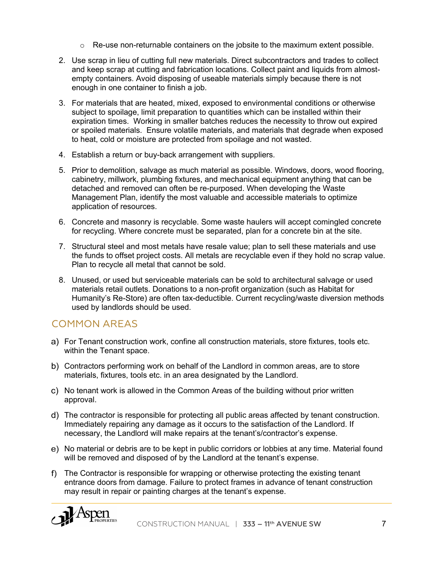- $\circ$  Re-use non-returnable containers on the jobsite to the maximum extent possible.
- 2. Use scrap in lieu of cutting full new materials. Direct subcontractors and trades to collect and keep scrap at cutting and fabrication locations. Collect paint and liquids from almostempty containers. Avoid disposing of useable materials simply because there is not enough in one container to finish a job.
- 3. For materials that are heated, mixed, exposed to environmental conditions or otherwise subject to spoilage, limit preparation to quantities which can be installed within their expiration times. Working in smaller batches reduces the necessity to throw out expired or spoiled materials. Ensure volatile materials, and materials that degrade when exposed to heat, cold or moisture are protected from spoilage and not wasted.
- 4. Establish a return or buy-back arrangement with suppliers.
- 5. Prior to demolition, salvage as much material as possible. Windows, doors, wood flooring, cabinetry, millwork, plumbing fixtures, and mechanical equipment anything that can be detached and removed can often be re-purposed. When developing the Waste Management Plan, identify the most valuable and accessible materials to optimize application of resources.
- 6. Concrete and masonry is recyclable. Some waste haulers will accept comingled concrete for recycling. Where concrete must be separated, plan for a concrete bin at the site.
- 7. Structural steel and most metals have resale value; plan to sell these materials and use the funds to offset project costs. All metals are recyclable even if they hold no scrap value. Plan to recycle all metal that cannot be sold.
- 8. Unused, or used but serviceable materials can be sold to architectural salvage or used materials retail outlets. Donations to a non-profit organization (such as Habitat for Humanity's Re-Store) are often tax-deductible. Current recycling/waste diversion methods used by landlords should be used.

## COMMON AREAS

- For Tenant construction work, confine all construction materials, store fixtures, tools etc. within the Tenant space.
- Contractors performing work on behalf of the Landlord in common areas, are to store materials, fixtures, tools etc. in an area designated by the Landlord.
- No tenant work is allowed in the Common Areas of the building without prior written approval.
- The contractor is responsible for protecting all public areas affected by tenant construction. Immediately repairing any damage as it occurs to the satisfaction of the Landlord. If necessary, the Landlord will make repairs at the tenant's/contractor's expense.
- No material or debris are to be kept in public corridors or lobbies at any time. Material found will be removed and disposed of by the Landlord at the tenant's expense.
- f) The Contractor is responsible for wrapping or otherwise protecting the existing tenant entrance doors from damage. Failure to protect frames in advance of tenant construction may result in repair or painting charges at the tenant's expense.

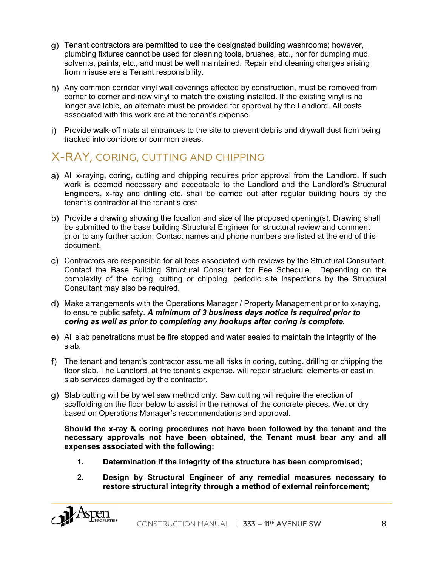- Tenant contractors are permitted to use the designated building washrooms; however, plumbing fixtures cannot be used for cleaning tools, brushes, etc., nor for dumping mud, solvents, paints, etc., and must be well maintained. Repair and cleaning charges arising from misuse are a Tenant responsibility.
- h) Any common corridor vinyl wall coverings affected by construction, must be removed from corner to corner and new vinyl to match the existing installed. If the existing vinyl is no longer available, an alternate must be provided for approval by the Landlord. All costs associated with this work are at the tenant's expense.
- i) Provide walk-off mats at entrances to the site to prevent debris and drywall dust from being tracked into corridors or common areas.

# X-RAY, CORING, CUTTING AND CHIPPING

- All x-raying, coring, cutting and chipping requires prior approval from the Landlord. If such work is deemed necessary and acceptable to the Landlord and the Landlord's Structural Engineers, x-ray and drilling etc. shall be carried out after regular building hours by the tenant's contractor at the tenant's cost.
- b) Provide a drawing showing the location and size of the proposed opening(s). Drawing shall be submitted to the base building Structural Engineer for structural review and comment prior to any further action. Contact names and phone numbers are listed at the end of this document.
- Contractors are responsible for all fees associated with reviews by the Structural Consultant. Contact the Base Building Structural Consultant for Fee Schedule. Depending on the complexity of the coring, cutting or chipping, periodic site inspections by the Structural Consultant may also be required.
- Make arrangements with the Operations Manager / Property Management prior to x-raying, to ensure public safety. *A minimum of 3 business days notice is required prior to coring as well as prior to completing any hookups after coring is complete.*
- All slab penetrations must be fire stopped and water sealed to maintain the integrity of the slab.
- f) The tenant and tenant's contractor assume all risks in coring, cutting, drilling or chipping the floor slab. The Landlord, at the tenant's expense, will repair structural elements or cast in slab services damaged by the contractor.
- Slab cutting will be by wet saw method only. Saw cutting will require the erection of scaffolding on the floor below to assist in the removal of the concrete pieces. Wet or dry based on Operations Manager's recommendations and approval.

**Should the x-ray & coring procedures not have been followed by the tenant and the necessary approvals not have been obtained, the Tenant must bear any and all expenses associated with the following:**

- **1. Determination if the integrity of the structure has been compromised;**
- **2. Design by Structural Engineer of any remedial measures necessary to restore structural integrity through a method of external reinforcement;**

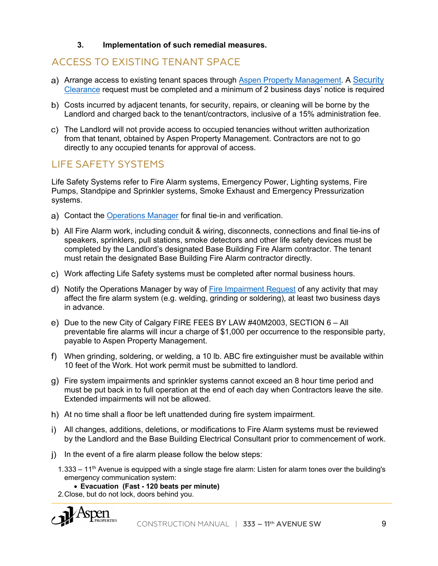#### **3. Implementation of such remedial measures.**

## ACCESS TO EXISTING TENANT SPACE

- a) Arrange access to existing tenant spaces through Aspen Property Management. A Security Clearance request must be completed and a minimum of 2 business days' notice is required
- Costs incurred by adjacent tenants, for security, repairs, or cleaning will be borne by the Landlord and charged back to the tenant/contractors, inclusive of a 15% administration fee.
- The Landlord will not provide access to occupied tenancies without written authorization from that tenant, obtained by Aspen Property Management. Contractors are not to go directly to any occupied tenants for approval of access.

## LIFE SAFETY SYSTEMS

Life Safety Systems refer to Fire Alarm systems, Emergency Power, Lighting systems, Fire Pumps, Standpipe and Sprinkler systems, Smoke Exhaust and Emergency Pressurization systems.

- Contact the Operations Manager for final tie-in and verification.
- All Fire Alarm work, including conduit & wiring, disconnects, connections and final tie-ins of speakers, sprinklers, pull stations, smoke detectors and other life safety devices must be completed by the Landlord's designated Base Building Fire Alarm contractor. The tenant must retain the designated Base Building Fire Alarm contractor directly.
- Work affecting Life Safety systems must be completed after normal business hours.
- Notify the Operations Manager by way of Fire Impairment Request of any activity that may affect the fire alarm system (e.g. welding, grinding or soldering), at least two business days in advance.
- e) Due to the new City of Calgary FIRE FEES BY LAW #40M2003, SECTION 6 All preventable fire alarms will incur a charge of \$1,000 per occurrence to the responsible party, payable to Aspen Property Management.
- When grinding, soldering, or welding, a 10 lb. ABC fire extinguisher must be available within 10 feet of the Work. Hot work permit must be submitted to landlord.
- Fire system impairments and sprinkler systems cannot exceed an 8 hour time period and must be put back in to full operation at the end of each day when Contractors leave the site. Extended impairments will not be allowed.
- h) At no time shall a floor be left unattended during fire system impairment.
- All changes, additions, deletions, or modifications to Fire Alarm systems must be reviewed by the Landlord and the Base Building Electrical Consultant prior to commencement of work.
- $\mathbf{i}$  In the event of a fire alarm please follow the below steps:
	- 1.333 11<sup>th</sup> Avenue is equipped with a single stage fire alarm: Listen for alarm tones over the building's emergency communication system:

• **Evacuation (Fast - 120 beats per minute)** 

2.Close, but do not lock, doors behind you.

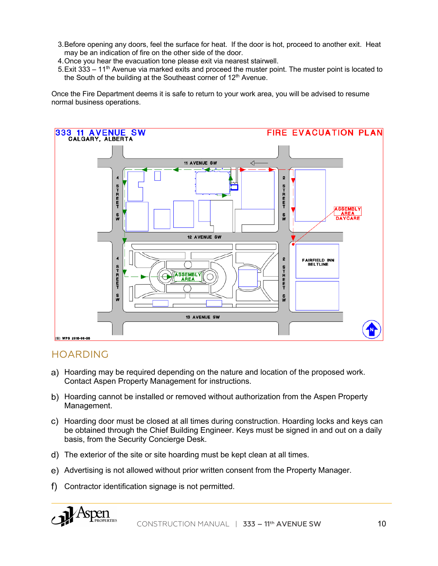- 3.Before opening any doors, feel the surface for heat. If the door is hot, proceed to another exit. Heat may be an indication of fire on the other side of the door.
- 4.Once you hear the evacuation tone please exit via nearest stairwell.
- 5. Exit 333  $-11<sup>th</sup>$  Avenue via marked exits and proceed the muster point. The muster point is located to the South of the building at the Southeast corner of  $12<sup>th</sup>$  Avenue.

Once the Fire Department deems it is safe to return to your work area, you will be advised to resume normal business operations.



## HOARDING

- Hoarding may be required depending on the nature and location of the proposed work. Contact Aspen Property Management for instructions.
- b) Hoarding cannot be installed or removed without authorization from the Aspen Property Management.
- Hoarding door must be closed at all times during construction. Hoarding locks and keys can be obtained through the Chief Building Engineer. Keys must be signed in and out on a daily basis, from the Security Concierge Desk.
- d) The exterior of the site or site hoarding must be kept clean at all times.
- Advertising is not allowed without prior written consent from the Property Manager.
- f) Contractor identification signage is not permitted.

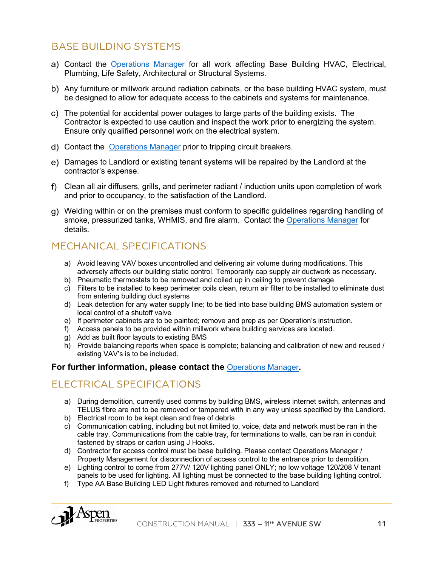## BASE BUILDING SYSTEMS

- Contact the Operations Manager for all work affecting Base Building HVAC, Electrical, Plumbing, Life Safety, Architectural or Structural Systems.
- Any furniture or millwork around radiation cabinets, or the base building HVAC system, must be designed to allow for adequate access to the cabinets and systems for maintenance.
- The potential for accidental power outages to large parts of the building exists. The Contractor is expected to use caution and inspect the work prior to energizing the system. Ensure only qualified personnel work on the electrical system.
- Contact the Operations Manager prior to tripping circuit breakers.
- Damages to Landlord or existing tenant systems will be repaired by the Landlord at the contractor's expense.
- Clean all air diffusers, grills, and perimeter radiant / induction units upon completion of work and prior to occupancy, to the satisfaction of the Landlord.
- Welding within or on the premises must conform to specific guidelines regarding handling of smoke, pressurized tanks, WHMIS, and fire alarm. Contact the Operations Manager for details.

# MECHANICAL SPECIFICATIONS

- a) Avoid leaving VAV boxes uncontrolled and delivering air volume during modifications. This adversely affects our building static control. Temporarily cap supply air ductwork as necessary.
- b) Pneumatic thermostats to be removed and coiled up in ceiling to prevent damage
- c) Filters to be installed to keep perimeter coils clean, return air filter to be installed to eliminate dust from entering building duct systems
- d) Leak detection for any water supply line; to be tied into base building BMS automation system or local control of a shutoff valve
- e) If perimeter cabinets are to be painted; remove and prep as per Operation's instruction.
- f) Access panels to be provided within millwork where building services are located.
- g) Add as built floor layouts to existing BMS
- h) Provide balancing reports when space is complete; balancing and calibration of new and reused / existing VAV's is to be included.

#### **For further information, please contact the** Operations Manager**.**

## ELECTRICAL SPECIFICATIONS

- a) During demolition, currently used comms by building BMS, wireless internet switch, antennas and TELUS fibre are not to be removed or tampered with in any way unless specified by the Landlord.
- b) Electrical room to be kept clean and free of debris
- c) Communication cabling, including but not limited to, voice, data and network must be ran in the cable tray. Communications from the cable tray, for terminations to walls, can be ran in conduit fastened by straps or carlon using J Hooks.
- d) Contractor for access control must be base building. Please contact Operations Manager / Property Management for disconnection of access control to the entrance prior to demolition.
- e) Lighting control to come from 277V/ 120V lighting panel ONLY; no low voltage 120/208 V tenant panels to be used for lighting. All lighting must be connected to the base building lighting control.
- f) Type AA Base Building LED Light fixtures removed and returned to Landlord

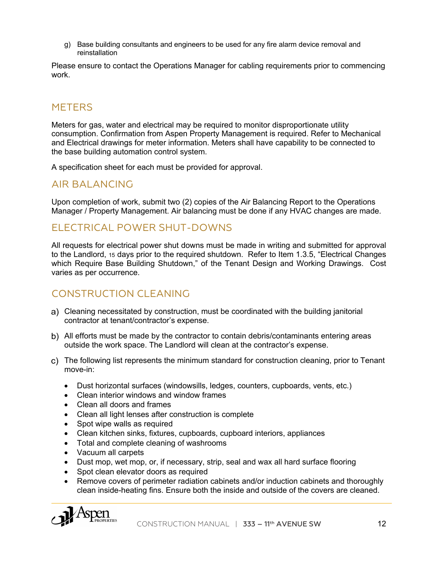g) Base building consultants and engineers to be used for any fire alarm device removal and reinstallation

Please ensure to contact the Operations Manager for cabling requirements prior to commencing work.

## **METERS**

Meters for gas, water and electrical may be required to monitor disproportionate utility consumption. Confirmation from Aspen Property Management is required. Refer to Mechanical and Electrical drawings for meter information. Meters shall have capability to be connected to the base building automation control system.

A specification sheet for each must be provided for approval.

## AIR BALANCING

Upon completion of work, submit two (2) copies of the Air Balancing Report to the Operations Manager / Property Management. Air balancing must be done if any HVAC changes are made.

## ELECTRICAL POWER SHUT-DOWNS

All requests for electrical power shut downs must be made in writing and submitted for approval to the Landlord, 15 days prior to the required shutdown. Refer to Item 1.3.5, "Electrical Changes which Require Base Building Shutdown," of the Tenant Design and Working Drawings. Cost varies as per occurrence.

## CONSTRUCTION CLEANING

- Cleaning necessitated by construction, must be coordinated with the building janitorial contractor at tenant/contractor's expense.
- All efforts must be made by the contractor to contain debris/contaminants entering areas outside the work space. The Landlord will clean at the contractor's expense.
- The following list represents the minimum standard for construction cleaning, prior to Tenant move-in:
	- Dust horizontal surfaces (windowsills, ledges, counters, cupboards, vents, etc.)
	- Clean interior windows and window frames
	- Clean all doors and frames
	- Clean all light lenses after construction is complete
	- Spot wipe walls as required
	- Clean kitchen sinks, fixtures, cupboards, cupboard interiors, appliances
	- Total and complete cleaning of washrooms
	- Vacuum all carpets
	- Dust mop, wet mop, or, if necessary, strip, seal and wax all hard surface flooring
	- Spot clean elevator doors as required
	- Remove covers of perimeter radiation cabinets and/or induction cabinets and thoroughly clean inside-heating fins. Ensure both the inside and outside of the covers are cleaned.

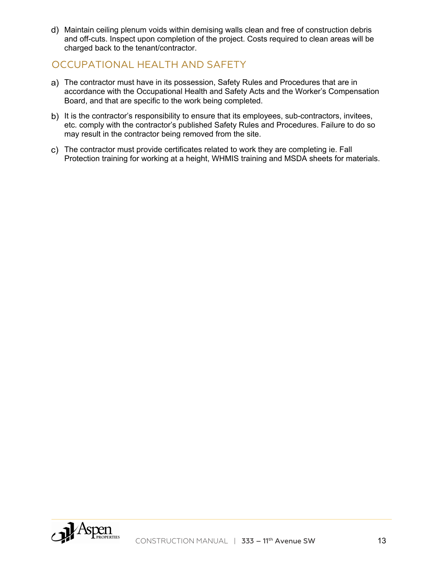Maintain ceiling plenum voids within demising walls clean and free of construction debris and off-cuts. Inspect upon completion of the project. Costs required to clean areas will be charged back to the tenant/contractor.

## OCCUPATIONAL HEALTH AND SAFETY

- The contractor must have in its possession, Safety Rules and Procedures that are in accordance with the Occupational Health and Safety Acts and the Worker's Compensation Board, and that are specific to the work being completed.
- b) It is the contractor's responsibility to ensure that its employees, sub-contractors, invitees, etc. comply with the contractor's published Safety Rules and Procedures. Failure to do so may result in the contractor being removed from the site.
- The contractor must provide certificates related to work they are completing ie. Fall Protection training for working at a height, WHMIS training and MSDA sheets for materials.

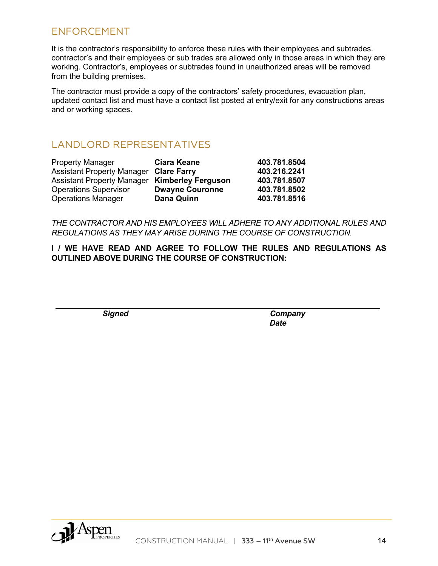## ENFORCEMENT

It is the contractor's responsibility to enforce these rules with their employees and subtrades. contractor's and their employees or sub trades are allowed only in those areas in which they are working. Contractor's, employees or subtrades found in unauthorized areas will be removed from the building premises.

The contractor must provide a copy of the contractors' safety procedures, evacuation plan, updated contact list and must have a contact list posted at entry/exit for any constructions areas and or working spaces.

## LANDLORD REPRESENTATIVES

| <b>Property Manager</b>                              | <b>Ciara Keane</b>     | 403.781.8504 |
|------------------------------------------------------|------------------------|--------------|
| <b>Assistant Property Manager Clare Farry</b>        |                        | 403.216.2241 |
| <b>Assistant Property Manager Kimberley Ferguson</b> |                        | 403.781.8507 |
| <b>Operations Supervisor</b>                         | <b>Dwayne Couronne</b> | 403.781.8502 |
| <b>Operations Manager</b>                            | <b>Dana Quinn</b>      | 403.781.8516 |

*THE CONTRACTOR AND HIS EMPLOYEES WILL ADHERE TO ANY ADDITIONAL RULES AND REGULATIONS AS THEY MAY ARISE DURING THE COURSE OF CONSTRUCTION.*

**I / WE HAVE READ AND AGREE TO FOLLOW THE RULES AND REGULATIONS AS OUTLINED ABOVE DURING THE COURSE OF CONSTRUCTION:**

*Signed Company Date*

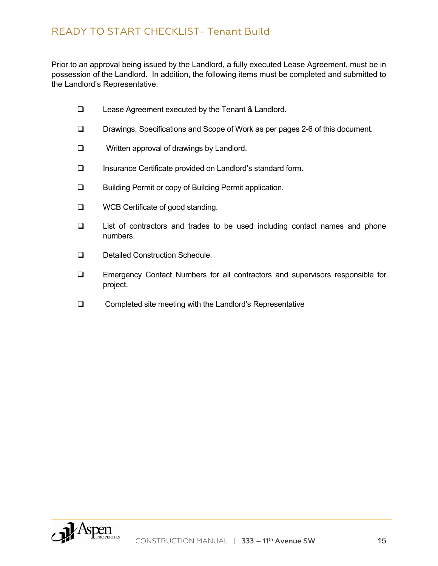Prior to an approval being issued by the Landlord, a fully executed Lease Agreement, must be in possession of the Landlord. In addition, the following items must be completed and submitted to the Landlord's Representative.

- $\Box$  Lease Agreement executed by the Tenant & Landlord.
- □ Drawings, Specifications and Scope of Work as per pages 2-6 of this document.
- $\Box$  Written approval of drawings by Landlord.
- □ Insurance Certificate provided on Landlord's standard form.
- □ Building Permit or copy of Building Permit application.
- **Q** WCB Certificate of good standing.
- $\Box$  List of contractors and trades to be used including contact names and phone numbers.
- **Q** Detailed Construction Schedule.
- **Q** Emergency Contact Numbers for all contractors and supervisors responsible for project.
- $\Box$  Completed site meeting with the Landlord's Representative

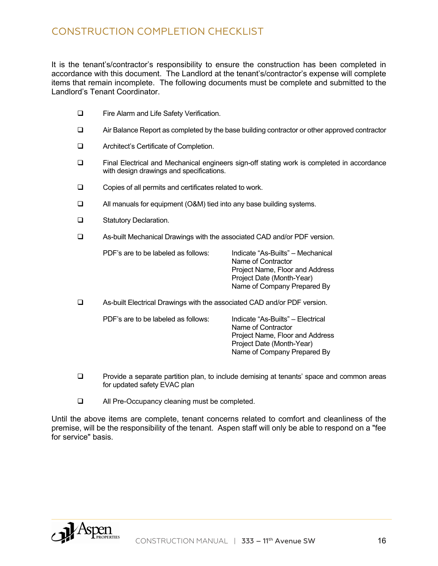It is the tenant's/contractor's responsibility to ensure the construction has been completed in accordance with this document. The Landlord at the tenant's/contractor's expense will complete items that remain incomplete. The following documents must be complete and submitted to the Landlord's Tenant Coordinator.

- **Q** Fire Alarm and Life Safety Verification.
- $\Box$  Air Balance Report as completed by the base building contractor or other approved contractor
- **Q** Architect's Certificate of Completion.
- □ Final Electrical and Mechanical engineers sign-off stating work is completed in accordance with design drawings and specifications.
- $\Box$  Copies of all permits and certificates related to work.
- $\Box$  All manuals for equipment (O&M) tied into any base building systems.
- **Q** Statutory Declaration.
- □ As-built Mechanical Drawings with the associated CAD and/or PDF version.

| PDF's are to be labeled as follows: | In |
|-------------------------------------|----|
|                                     |    |

PDF's are to be labeled as follows: Indicate "As-Builts" – Mechanical Name of Contractor Project Name, Floor and Address Project Date (Month-Year) Name of Company Prepared By

q As-built Electrical Drawings with the associated CAD and/or PDF version.

PDF's are to be labeled as follows: Indicate "As-Builts" – Electrical

Name of Contractor Project Name, Floor and Address Project Date (Month-Year) Name of Company Prepared By

- **Q** Provide a separate partition plan, to include demising at tenants' space and common areas for updated safety EVAC plan
- **Q** All Pre-Occupancy cleaning must be completed.

Until the above items are complete, tenant concerns related to comfort and cleanliness of the premise, will be the responsibility of the tenant. Aspen staff will only be able to respond on a "fee for service" basis.

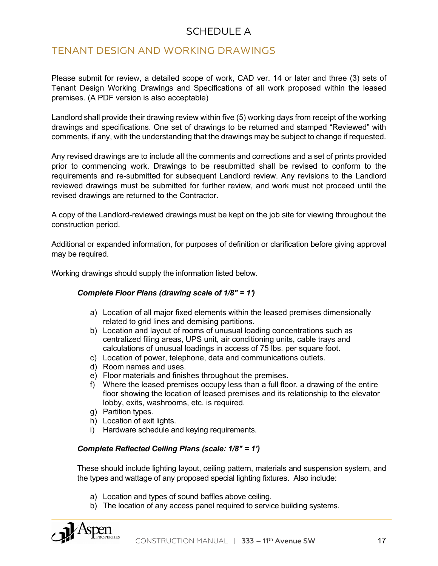## SCHEDULE A

## TENANT DESIGN AND WORKING DRAWINGS

Please submit for review, a detailed scope of work, CAD ver. 14 or later and three (3) sets of Tenant Design Working Drawings and Specifications of all work proposed within the leased premises. (A PDF version is also acceptable)

Landlord shall provide their drawing review within five (5) working days from receipt of the working drawings and specifications. One set of drawings to be returned and stamped "Reviewed" with comments, if any, with the understanding that the drawings may be subject to change if requested.

Any revised drawings are to include all the comments and corrections and a set of prints provided prior to commencing work. Drawings to be resubmitted shall be revised to conform to the requirements and re-submitted for subsequent Landlord review. Any revisions to the Landlord reviewed drawings must be submitted for further review, and work must not proceed until the revised drawings are returned to the Contractor.

A copy of the Landlord-reviewed drawings must be kept on the job site for viewing throughout the construction period.

Additional or expanded information, for purposes of definition or clarification before giving approval may be required.

Working drawings should supply the information listed below.

#### *Complete Floor Plans (drawing scale of 1/8" = 1')*

- a) Location of all major fixed elements within the leased premises dimensionally related to grid lines and demising partitions.
- b) Location and layout of rooms of unusual loading concentrations such as centralized filing areas, UPS unit, air conditioning units, cable trays and calculations of unusual loadings in access of 75 lbs. per square foot.
- c) Location of power, telephone, data and communications outlets.
- d) Room names and uses.
- e) Floor materials and finishes throughout the premises.
- f) Where the leased premises occupy less than a full floor, a drawing of the entire floor showing the location of leased premises and its relationship to the elevator lobby, exits, washrooms, etc. is required.
- g) Partition types.
- h) Location of exit lights.
- i) Hardware schedule and keying requirements.

#### *Complete Reflected Ceiling Plans (scale: 1/8" = 1')*

These should include lighting layout, ceiling pattern, materials and suspension system, and the types and wattage of any proposed special lighting fixtures. Also include:

- a) Location and types of sound baffles above ceiling.
- b) The location of any access panel required to service building systems.

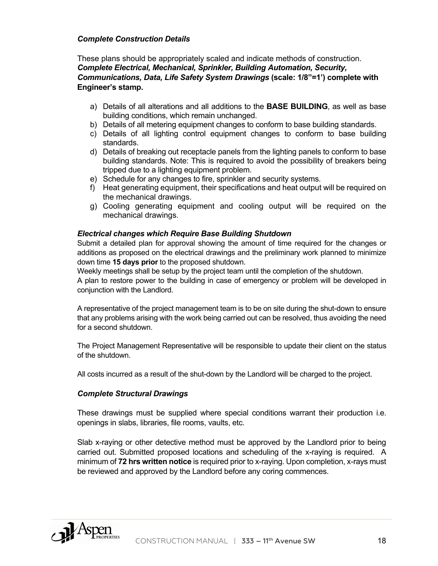#### *Complete Construction Details*

These plans should be appropriately scaled and indicate methods of construction. *Complete Electrical, Mechanical, Sprinkler, Building Automation, Security, Communications, Data, Life Safety System Drawings* **(scale: 1/8"=1') complete with Engineer's stamp.**

- a) Details of all alterations and all additions to the **BASE BUILDING**, as well as base building conditions, which remain unchanged.
- b) Details of all metering equipment changes to conform to base building standards.
- c) Details of all lighting control equipment changes to conform to base building standards.
- d) Details of breaking out receptacle panels from the lighting panels to conform to base building standards. Note: This is required to avoid the possibility of breakers being tripped due to a lighting equipment problem.
- e) Schedule for any changes to fire, sprinkler and security systems.
- f) Heat generating equipment, their specifications and heat output will be required on the mechanical drawings.
- g) Cooling generating equipment and cooling output will be required on the mechanical drawings.

#### *Electrical changes which Require Base Building Shutdown*

Submit a detailed plan for approval showing the amount of time required for the changes or additions as proposed on the electrical drawings and the preliminary work planned to minimize down time **15 days prior** to the proposed shutdown.

Weekly meetings shall be setup by the project team until the completion of the shutdown.

A plan to restore power to the building in case of emergency or problem will be developed in conjunction with the Landlord.

A representative of the project management team is to be on site during the shut-down to ensure that any problems arising with the work being carried out can be resolved, thus avoiding the need for a second shutdown.

The Project Management Representative will be responsible to update their client on the status of the shutdown.

All costs incurred as a result of the shut-down by the Landlord will be charged to the project.

#### *Complete Structural Drawings*

These drawings must be supplied where special conditions warrant their production i.e. openings in slabs, libraries, file rooms, vaults, etc.

Slab x-raying or other detective method must be approved by the Landlord prior to being carried out. Submitted proposed locations and scheduling of the x-raying is required. A minimum of **72 hrs written notice** is required prior to x-raying. Upon completion, x-rays must be reviewed and approved by the Landlord before any coring commences.

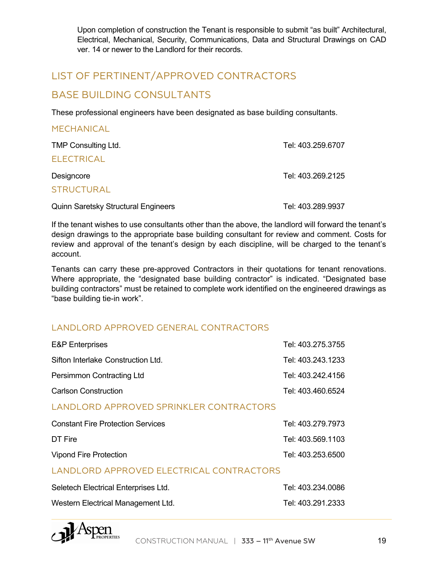Upon completion of construction the Tenant is responsible to submit "as built" Architectural, Electrical, Mechanical, Security, Communications, Data and Structural Drawings on CAD ver. 14 or newer to the Landlord for their records.

## LIST OF PERTINENT/APPROVED CONTRACTORS

## BASE BUILDING CONSULTANTS

These professional engineers have been designated as base building consultants.

| <b>MECHANICAL</b>          |                   |
|----------------------------|-------------------|
| <b>TMP Consulting Ltd.</b> | Tel: 403.259.6707 |
| <b>ELECTRICAL</b>          |                   |
| Designcore                 | Tel: 403.269.2125 |
| <b>STRUCTURAL</b>          |                   |
|                            |                   |

Quinn Saretsky Structural Engineers Tel: 403.289.9937

If the tenant wishes to use consultants other than the above, the landlord will forward the tenant's design drawings to the appropriate base building consultant for review and comment. Costs for review and approval of the tenant's design by each discipline, will be charged to the tenant's account.

Tenants can carry these pre-approved Contractors in their quotations for tenant renovations. Where appropriate, the "designated base building contractor" is indicated. "Designated base building contractors" must be retained to complete work identified on the engineered drawings as "base building tie-in work".

### LANDLORD APPROVED GENERAL CONTRACTORS

| <b>E&amp;P</b> Enterprises         | Tel: 403.275.3755 |
|------------------------------------|-------------------|
| Sifton Interlake Construction Ltd. | Tel: 403.243.1233 |
| Persimmon Contracting Ltd          | Tel: 403.242.4156 |
| <b>Carlson Construction</b>        | Tel: 403.460.6524 |

#### LANDLORD APPROVED SPRINKLER CONTRACTORS

| <b>Constant Fire Protection Services</b> | Tel: 403.279.7973 |
|------------------------------------------|-------------------|
| DT Fire                                  | Tel: 403.569.1103 |
| Vipond Fire Protection                   | Tel: 403.253.6500 |

#### LANDLORD APPROVED ELECTRICAL CONTRACTORS

| Seletech Electrical Enterprises Ltd. | Tel: 403.234.0086 |
|--------------------------------------|-------------------|
| Western Electrical Management Ltd.   | Tel: 403.291.2333 |